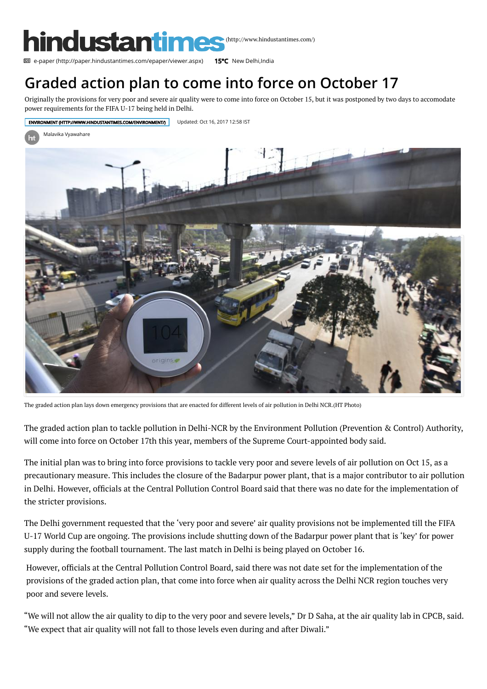

**图 [e-paper \(http://paper.hindustantimes.com/epaper/viewer.aspx\)](http://paper.hindustantimes.com/epaper/viewer.aspx) 15°C New Delhi.India** 

## [Graded action plan to come into force on October 17](https://www.instagram.com/hindustantimes/)

[Originally the prov](http://www.hindustantimes.com/india-news/)[isions for very poor an](http://www.hindustantimes.com/world-news/)d se[vere air quality were](http://www.hindustantimes.com/opinion/) [to come into force on](http://www.hindustantimes.com/sports-news/) [October 15, but it was postpone](http://www.hindustantimes.com/entertainment/)[d by two days to ac](http://www.hindustantimes.com/lifestyle/)comodate power requirements for the FIFA U-17 [being held in Delhi.](http://www.hindustantimes.com/education/)



The graded action plan lays down emergency provisions that are enacted for different levels of air pollution in Delhi NCR.(HT Photo)

The graded action plan to tackle pollution in Delhi-NCR by the Environment Pollution (Prevention & Control) Authority, will come into force on October 17th this year, members of the Supreme Court-appointed body said.

The initial plan was to bring into force provisions to tackle very poor and severe levels of air pollution on Oct 15, as a precautionary measure. This includes the closure of the Badarpur power plant, that is a major contributor to air pollution in Delhi. However, officials at the Central Pollution Control Board said that there was no date for the implementation of the stricter provisions.

The Delhi government requested that the 'very poor and severe' air quality provisions not be implemented till the FIFA U-17 World Cup are ongoing. The provisions include shutting down of the Badarpur power plant that is 'key' for power supply during the football tournament. The last match in Delhi is being played on October 16.

However, officials at the Central Pollution Control Board, said there was not date set for the implementation of the provisions of the graded action plan, that come into force when air quality across the Delhi NCR region touches very poor and severe levels.

"We will not allow the air quality to dip to the very poor and severe levels," Dr D Saha, at the air quality lab in CPCB, said. "We expect that air quality will not fall to those levels even during and after Diwali."